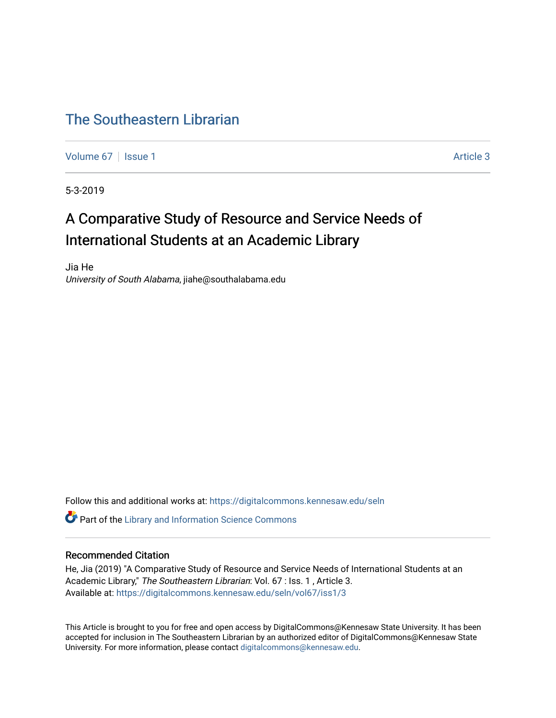# [The Southeastern Librarian](https://digitalcommons.kennesaw.edu/seln)

[Volume 67](https://digitalcommons.kennesaw.edu/seln/vol67) | [Issue 1](https://digitalcommons.kennesaw.edu/seln/vol67/iss1) Article 3

5-3-2019

# A Comparative Study of Resource and Service Needs of International Students at an Academic Library

Jia He University of South Alabama, jiahe@southalabama.edu

Follow this and additional works at: [https://digitalcommons.kennesaw.edu/seln](https://digitalcommons.kennesaw.edu/seln?utm_source=digitalcommons.kennesaw.edu%2Fseln%2Fvol67%2Fiss1%2F3&utm_medium=PDF&utm_campaign=PDFCoverPages) 

**C** Part of the Library and Information Science Commons

# Recommended Citation

He, Jia (2019) "A Comparative Study of Resource and Service Needs of International Students at an Academic Library," The Southeastern Librarian: Vol. 67 : Iss. 1, Article 3. Available at: [https://digitalcommons.kennesaw.edu/seln/vol67/iss1/3](https://digitalcommons.kennesaw.edu/seln/vol67/iss1/3?utm_source=digitalcommons.kennesaw.edu%2Fseln%2Fvol67%2Fiss1%2F3&utm_medium=PDF&utm_campaign=PDFCoverPages)

This Article is brought to you for free and open access by DigitalCommons@Kennesaw State University. It has been accepted for inclusion in The Southeastern Librarian by an authorized editor of DigitalCommons@Kennesaw State University. For more information, please contact [digitalcommons@kennesaw.edu.](mailto:digitalcommons@kennesaw.edu)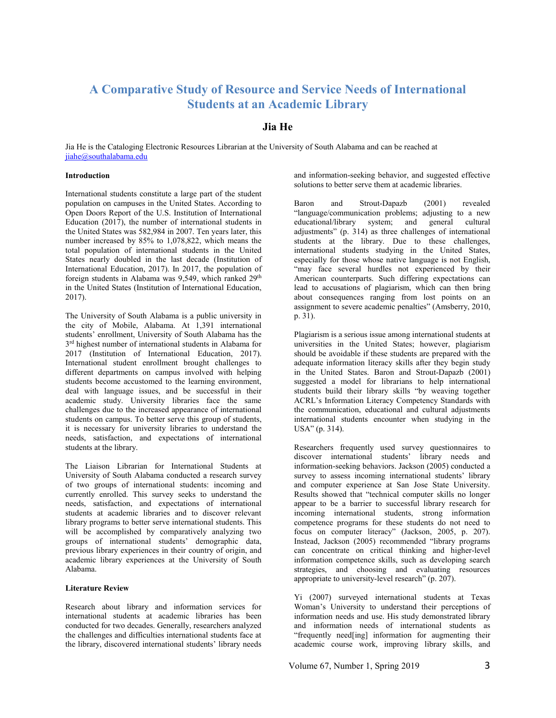# **A Comparative Study of Resource and Service Needs of International Students at an Academic Library**

# **Jia He**

Jia He is the Cataloging Electronic Resources Librarian at the University of South Alabama and can be reached at jiahe@southalabama.edu

#### **Introduction**

International students constitute a large part of the student population on campuses in the United States. According to Open Doors Report of the U.S. Institution of International Education  $(2017)$ , the number of international students in the United States was 582,984 in 2007. Ten years later, this number increased by 85% to 1,078,822, which means the total population of international students in the United States nearly doubled in the last decade (Institution of International Education, 2017). In 2017, the population of foreign students in Alabama was 9,549, which ranked 29<sup>th</sup> in the United States (Institution of International Education, 2017).

The University of South Alabama is a public university in the city of Mobile, Alabama. At 1,391 international students' enrollment, University of South Alabama has the 3rd highest number of international students in Alabama for 2017 (Institution of International Education, 2017). International student enrollment brought challenges to different departments on campus involved with helping students become accustomed to the learning environment, deal with language issues, and be successful in their academic study. University libraries face the same challenges due to the increased appearance of international students on campus. To better serve this group of students, it is necessary for university libraries to understand the needs, satisfaction, and expectations of international students at the library.

The Liaison Librarian for International Students at University of South Alabama conducted a research survey of two groups of international students: incoming and currently enrolled. This survey seeks to understand the needs, satisfaction, and expectations of international students at academic libraries and to discover relevant library programs to better serve international students. This will be accomplished by comparatively analyzing two groups of international students' demographic data, previous library experiences in their country of origin, and academic library experiences at the University of South Alabama.

#### **Literature Review**

Research about library and information services for international students at academic libraries has been conducted for two decades. Generally, researchers analyzed the challenges and difficulties international students face at the library, discovered international students' library needs and information-seeking behavior, and suggested effective solutions to better serve them at academic libraries.

Baron and Strout-Dapazb (2001) revealed "language/communication problems; adjusting to a new educational/library system; and general cultural adjustments" (p. 314) as three challenges of international students at the library. Due to these challenges, international students studying in the United States, especially for those whose native language is not English, "may face several hurdles not experienced by their American counterparts. Such differing expectations can lead to accusations of plagiarism, which can then bring about consequences ranging from lost points on an assignment to severe academic penalties" (Amsberry, 2010, p. 31).

Plagiarism is a serious issue among international students at universities in the United States; however, plagiarism should be avoidable if these students are prepared with the adequate information literacy skills after they begin study in the United States. Baron and Strout-Dapazb (2001) suggested a model for librarians to help international students build their library skills "by weaving together ACRL's Information Literacy Competency Standards with the communication, educational and cultural adjustments international students encounter when studying in the USA" (p. 314).

Researchers frequently used survey questionnaires to discover international students' library needs and information-seeking behaviors. Jackson (2005) conducted a survey to assess incoming international students' library and computer experience at San Jose State University. Results showed that "technical computer skills no longer appear to be a barrier to successful library research for incoming international students, strong information competence programs for these students do not need to focus on computer literacy" (Jackson, 2005, p. 207). Instead, Jackson (2005) recommended "library programs can concentrate on critical thinking and higher-level information competence skills, such as developing search strategies, and choosing and evaluating resources appropriate to university-level research" (p. 207).

Yi (2007) surveyed international students at Texas Woman's University to understand their perceptions of information needs and use. His study demonstrated library and information needs of international students as "frequently need[ing] information for augmenting their academic course work, improving library skills, and

Volume 67, Number 1, Spring 2019 3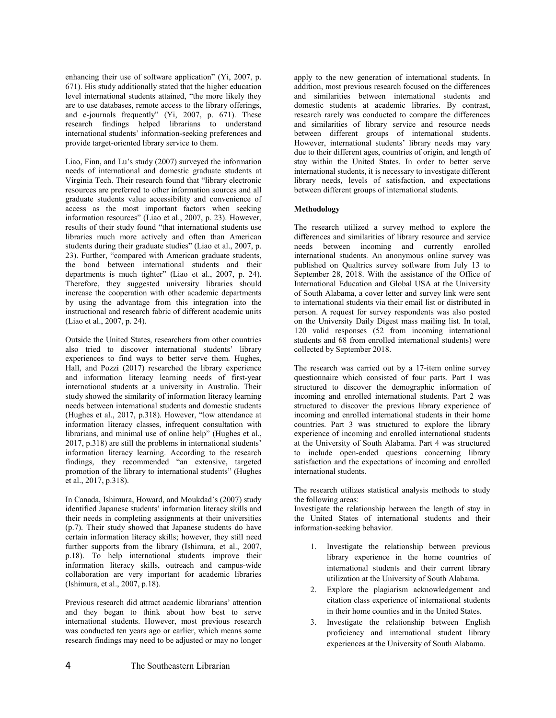enhancing their use of software application" (Yi, 2007, p. 671). His study additionally stated that the higher education level international students attained, "the more likely they are to use databases, remote access to the library offerings, and e-journals frequently" (Yi, 2007, p. 671). These research findings helped librarians to understand international students' information-seeking preferences and provide target-oriented library service to them.

Liao, Finn, and Lu's study (2007) surveyed the information needs of international and domestic graduate students at Virginia Tech. Their research found that "library electronic resources are preferred to other information sources and all graduate students value accessibility and convenience of access as the most important factors when seeking information resources" (Liao et al., 2007, p. 23). However, results of their study found "that international students use libraries much more actively and often than American students during their graduate studies" (Liao et al., 2007, p. 23). Further, "compared with American graduate students, the bond between international students and their departments is much tighter" (Liao et al., 2007, p. 24). Therefore, they suggested university libraries should increase the cooperation with other academic departments by using the advantage from this integration into the instructional and research fabric of different academic units (Liao et al., 2007, p. 24).

Outside the United States, researchers from other countries also tried to discover international students' library experiences to find ways to better serve them. Hughes, Hall, and Pozzi (2017) researched the library experience and information literacy learning needs of first-year international students at a university in Australia. Their study showed the similarity of information literacy learning needs between international students and domestic students (Hughes et al., 2017, p.318). However, "low attendance at information literacy classes, infrequent consultation with librarians, and minimal use of online help" (Hughes et al., 2017, p.318) are still the problems in international students' information literacy learning. According to the research findings, they recommended "an extensive, targeted promotion of the library to international students" (Hughes et al., 2017, p.318).

In Canada, Ishimura, Howard, and Moukdad's (2007) study identified Japanese students' information literacy skills and their needs in completing assignments at their universities (p.7). Their study showed that Japanese students do have certain information literacy skills; however, they still need further supports from the library (Ishimura, et al., 2007, p.18). To help international students improve their information literacy skills, outreach and campus-wide collaboration are very important for academic libraries (Ishimura, et al., 2007, p.18).

Previous research did attract academic librarians' attention and they began to think about how best to serve international students. However, most previous research was conducted ten years ago or earlier, which means some research findings may need to be adjusted or may no longer apply to the new generation of international students. In addition, most previous research focused on the differences and similarities between international students and domestic students at academic libraries. By contrast, research rarely was conducted to compare the differences and similarities of library service and resource needs between different groups of international students. However, international students' library needs may vary due to their different ages, countries of origin, and length of stay within the United States. In order to better serve international students, it is necessary to investigate different library needs, levels of satisfaction, and expectations between different groups of international students.

### **Methodology**

The research utilized a survey method to explore the differences and similarities of library resource and service needs between incoming and currently enrolled international students. An anonymous online survey was published on Qualtrics survey software from July 13 to September 28, 2018. With the assistance of the Office of International Education and Global USA at the University of South Alabama, a cover letter and survey link were sent to international students via their email list or distributed in person. A request for survey respondents was also posted on the University Daily Digest mass mailing list. In total, 120 valid responses (52 from incoming international students and 68 from enrolled international students) were collected by September 2018.

The research was carried out by a 17-item online survey questionnaire which consisted of four parts. Part 1 was structured to discover the demographic information of incoming and enrolled international students. Part 2 was structured to discover the previous library experience of incoming and enrolled international students in their home countries. Part 3 was structured to explore the library experience of incoming and enrolled international students at the University of South Alabama. Part 4 was structured to include open-ended questions concerning library satisfaction and the expectations of incoming and enrolled international students.

The research utilizes statistical analysis methods to study the following areas:

Investigate the relationship between the length of stay in the United States of international students and their information-seeking behavior.

- 1. Investigate the relationship between previous library experience in the home countries of international students and their current library utilization at the University of South Alabama.
- 2. Explore the plagiarism acknowledgement and citation class experience of international students in their home counties and in the United States.
- 3. Investigate the relationship between English proficiency and international student library experiences at the University of South Alabama.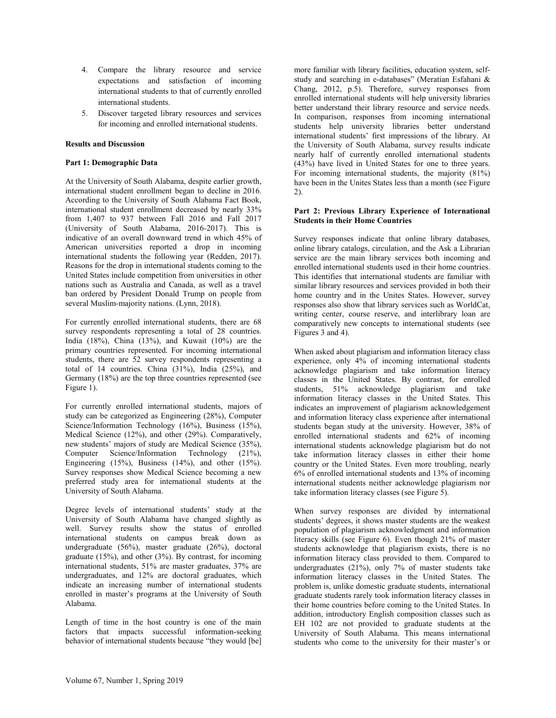- 4. Compare the library resource and service expectations and satisfaction of incoming international students to that of currently enrolled international students.
- 5. Discover targeted library resources and services for incoming and enrolled international students.

#### **Results and Discussion**

#### **Part 1: Demographic Data**

At the University of South Alabama, despite earlier growth, international student enrollment began to decline in 2016. According to the University of South Alabama Fact Book, international student enrollment decreased by nearly 33% from 1,407 to 937 between Fall 2016 and Fall 2017 (University of South Alabama, 2016-2017). This is indicative of an overall downward trend in which 45% of American universities reported a drop in incoming international students the following year (Redden, 2017). Reasons for the drop in international students coming to the United States include competition from universities in other nations such as Australia and Canada, as well as a travel ban ordered by President Donald Trump on people from several Muslim-majority nations. (Lynn, 2018).

For currently enrolled international students, there are 68 survey respondents representing a total of 28 countries. India  $(18\%)$ , China  $(13\%)$ , and Kuwait  $(10\%)$  are the primary countries represented. For incoming international students, there are 52 survey respondents representing a total of 14 countries. China (31%), India (25%), and Germany (18%) are the top three countries represented (see Figure 1).

For currently enrolled international students, majors of study can be categorized as Engineering (28%), Computer Science/Information Technology (16%), Business (15%), Medical Science (12%), and other (29%). Comparatively, new students' majors of study are Medical Science (35%), Computer Science/Information Technology (21%), Engineering  $(15\%)$ , Business  $(14\%)$ , and other  $(15\%)$ . Survey responses show Medical Science becoming a new preferred study area for international students at the University of South Alabama.

Degree levels of international students' study at the University of South Alabama have changed slightly as well. Survey results show the status of enrolled international students on campus break down as undergraduate (56%), master graduate (26%), doctoral graduate (15%), and other (3%). By contrast, for incoming international students, 51% are master graduates, 37% are undergraduates, and 12% are doctoral graduates, which indicate an increasing number of international students enrolled in master's programs at the University of South Alabama.

Length of time in the host country is one of the main factors that impacts successful information-seeking behavior of international students because "they would [be] more familiar with library facilities, education system, selfstudy and searching in e-databases" (Meratian Esfahani & Chang, 2012, p.5). Therefore, survey responses from enrolled international students will help university libraries better understand their library resource and service needs. In comparison, responses from incoming international students help university libraries better understand international students' first impressions of the library. At the University of South Alabama, survey results indicate nearly half of currently enrolled international students (43%) have lived in United States for one to three years. For incoming international students, the majority (81%) have been in the Unites States less than a month (see Figure 2).

#### **Part 2: Previous Library Experience of International Students in their Home Countries**

Survey responses indicate that online library databases, online library catalogs, circulation, and the Ask a Librarian service are the main library services both incoming and enrolled international students used in their home countries. This identifies that international students are familiar with similar library resources and services provided in both their home country and in the Unites States. However, survey responses also show that library services such as WorldCat, writing center, course reserve, and interlibrary loan are comparatively new concepts to international students (see Figures 3 and 4).

When asked about plagiarism and information literacy class experience, only 4% of incoming international students acknowledge plagiarism and take information literacy classes in the United States. By contrast, for enrolled students, 51% acknowledge plagiarism and take information literacy classes in the United States. This indicates an improvement of plagiarism acknowledgement and information literacy class experience after international students began study at the university. However, 38% of enrolled international students and 62% of incoming international students acknowledge plagiarism but do not take information literacy classes in either their home country or the United States. Even more troubling, nearly 6% of enrolled international students and 13% of incoming international students neither acknowledge plagiarism nor take information literacy classes (see Figure 5).

When survey responses are divided by international students' degrees, it shows master students are the weakest population of plagiarism acknowledgment and information literacy skills (see Figure 6). Even though 21% of master students acknowledge that plagiarism exists, there is no information literacy class provided to them. Compared to undergraduates (21%), only 7% of master students take information literacy classes in the United States. The problem is, unlike domestic graduate students, international graduate students rarely took information literacy classes in their home countries before coming to the United States. In addition, introductory English composition classes such as EH 102 are not provided to graduate students at the University of South Alabama. This means international students who come to the university for their master's or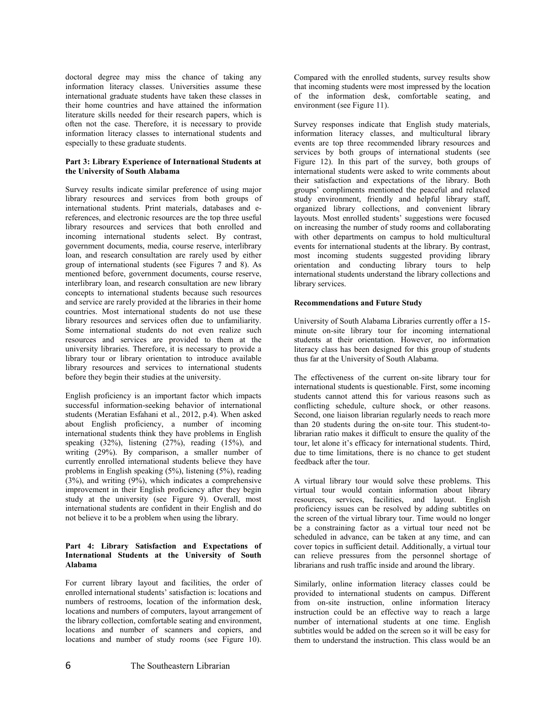doctoral degree may miss the chance of taking any information literacy classes. Universities assume these international graduate students have taken these classes in their home countries and have attained the information literature skills needed for their research papers, which is often not the case. Therefore, it is necessary to provide information literacy classes to international students and especially to these graduate students.

#### **Part 3: Library Experience of International Students at the University of South Alabama**

Survey results indicate similar preference of using major library resources and services from both groups of international students. Print materials, databases and ereferences, and electronic resources are the top three useful library resources and services that both enrolled and incoming international students select. By contrast, government documents, media, course reserve, interlibrary loan, and research consultation are rarely used by either group of international students (see Figures 7 and 8). As mentioned before, government documents, course reserve, interlibrary loan, and research consultation are new library concepts to international students because such resources and service are rarely provided at the libraries in their home countries. Most international students do not use these library resources and services often due to unfamiliarity. Some international students do not even realize such resources and services are provided to them at the university libraries. Therefore, it is necessary to provide a library tour or library orientation to introduce available library resources and services to international students before they begin their studies at the university.

English proficiency is an important factor which impacts successful information-seeking behavior of international students (Meratian Esfahani et al., 2012, p.4). When asked about English proficiency, a number of incoming international students think they have problems in English speaking  $(32\%)$ , listening  $(27\%)$ , reading  $(15\%)$ , and writing (29%). By comparison, a smaller number of currently enrolled international students believe they have problems in English speaking (5%), listening (5%), reading  $(3%)$ , and writing  $(9%)$ , which indicates a comprehensive improvement in their English proficiency after they begin study at the university (see Figure 9). Overall, most international students are confident in their English and do not believe it to be a problem when using the library.

#### **Part 4: Library Satisfaction and Expectations of International Students at the University of South Alabama**

For current library layout and facilities, the order of enrolled international students' satisfaction is: locations and numbers of restrooms, location of the information desk, locations and numbers of computers, layout arrangement of the library collection, comfortable seating and environment, locations and number of scanners and copiers, and locations and number of study rooms (see Figure 10).

Compared with the enrolled students, survey results show that incoming students were most impressed by the location of the information desk, comfortable seating, and environment (see Figure 11).

Survey responses indicate that English study materials, information literacy classes, and multicultural library events are top three recommended library resources and services by both groups of international students (see Figure 12). In this part of the survey, both groups of international students were asked to write comments about their satisfaction and expectations of the library. Both groups' compliments mentioned the peaceful and relaxed study environment, friendly and helpful library staff, organized library collections, and convenient library layouts. Most enrolled students' suggestions were focused on increasing the number of study rooms and collaborating with other departments on campus to hold multicultural events for international students at the library. By contrast, most incoming students suggested providing library orientation and conducting library tours to help international students understand the library collections and library services.

#### **Recommendations and Future Study**

University of South Alabama Libraries currently offer a 15 minute on-site library tour for incoming international students at their orientation. However, no information literacy class has been designed for this group of students thus far at the University of South Alabama.

The effectiveness of the current on-site library tour for international students is questionable. First, some incoming students cannot attend this for various reasons such as conflicting schedule, culture shock, or other reasons. Second, one liaison librarian regularly needs to reach more than 20 students during the on-site tour. This student-tolibrarian ratio makes it difficult to ensure the quality of the tour, let alone it's efficacy for international students. Third, due to time limitations, there is no chance to get student feedback after the tour.

A virtual library tour would solve these problems. This virtual tour would contain information about library resources, services, facilities, and layout. English proficiency issues can be resolved by adding subtitles on the screen of the virtual library tour. Time would no longer be a constraining factor as a virtual tour need not be scheduled in advance, can be taken at any time, and can cover topics in sufficient detail. Additionally, a virtual tour can relieve pressures from the personnel shortage of librarians and rush traffic inside and around the library.

Similarly, online information literacy classes could be provided to international students on campus. Different from on-site instruction, online information literacy instruction could be an effective way to reach a large number of international students at one time. English subtitles would be added on the screen so it will be easy for them to understand the instruction. This class would be an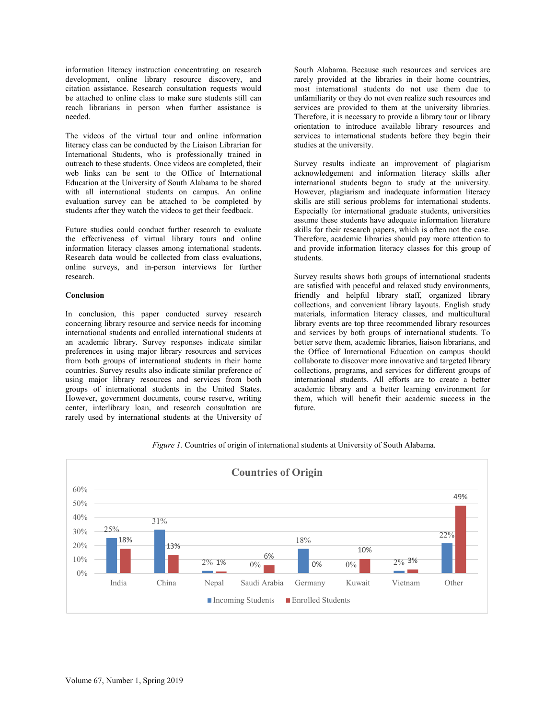information literacy instruction concentrating on research development, online library resource discovery, and citation assistance. Research consultation requests would be attached to online class to make sure students still can reach librarians in person when further assistance is needed.

The videos of the virtual tour and online information literacy class can be conducted by the Liaison Librarian for International Students, who is professionally trained in outreach to these students. Once videos are completed, their web links can be sent to the Office of International Education at the University of South Alabama to be shared with all international students on campus. An online evaluation survey can be attached to be completed by students after they watch the videos to get their feedback.

Future studies could conduct further research to evaluate the effectiveness of virtual library tours and online information literacy classes among international students. Research data would be collected from class evaluations, online surveys, and in-person interviews for further research.

#### **Conclusion**

In conclusion, this paper conducted survey research concerning library resource and service needs for incoming international students and enrolled international students at an academic library. Survey responses indicate similar preferences in using major library resources and services from both groups of international students in their home countries. Survey results also indicate similar preference of using major library resources and services from both groups of international students in the United States. However, government documents, course reserve, writing center, interlibrary loan, and research consultation are rarely used by international students at the University of South Alabama. Because such resources and services are rarely provided at the libraries in their home countries, most international students do not use them due to unfamiliarity or they do not even realize such resources and services are provided to them at the university libraries. Therefore, it is necessary to provide a library tour or library orientation to introduce available library resources and services to international students before they begin their studies at the university.

Survey results indicate an improvement of plagiarism acknowledgement and information literacy skills after international students began to study at the university. However, plagiarism and inadequate information literacy skills are still serious problems for international students. Especially for international graduate students, universities assume these students have adequate information literature skills for their research papers, which is often not the case. Therefore, academic libraries should pay more attention to and provide information literacy classes for this group of students.

Survey results shows both groups of international students are satisfied with peaceful and relaxed study environments, friendly and helpful library staff, organized library collections, and convenient library layouts. English study materials, information literacy classes, and multicultural library events are top three recommended library resources and services by both groups of international students. To better serve them, academic libraries, liaison librarians, and the Office of International Education on campus should collaborate to discover more innovative and targeted library collections, programs, and services for different groups of international students. All efforts are to create a better academic library and a better learning environment for them, which will benefit their academic success in the future.



*Figure 1.* Countries of origin of international students at University of South Alabama.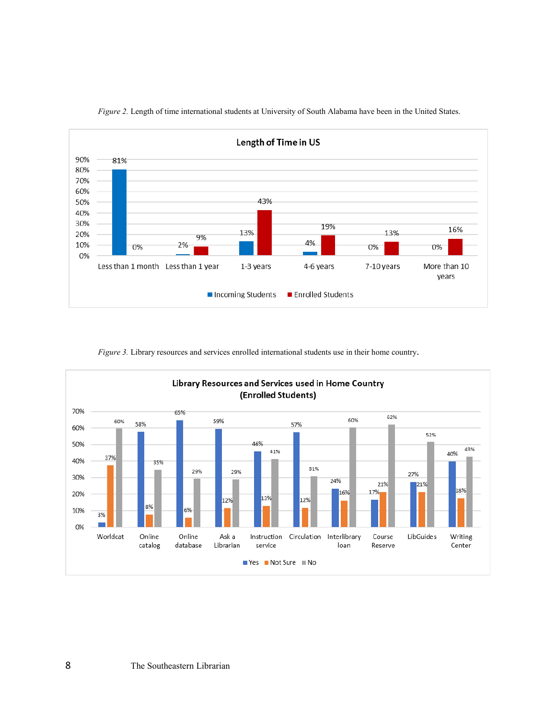

*Figure 2.* Length of time international students at University of South Alabama have been in the United States.



*Figure 3.* Library resources and services enrolled international students use in their home country.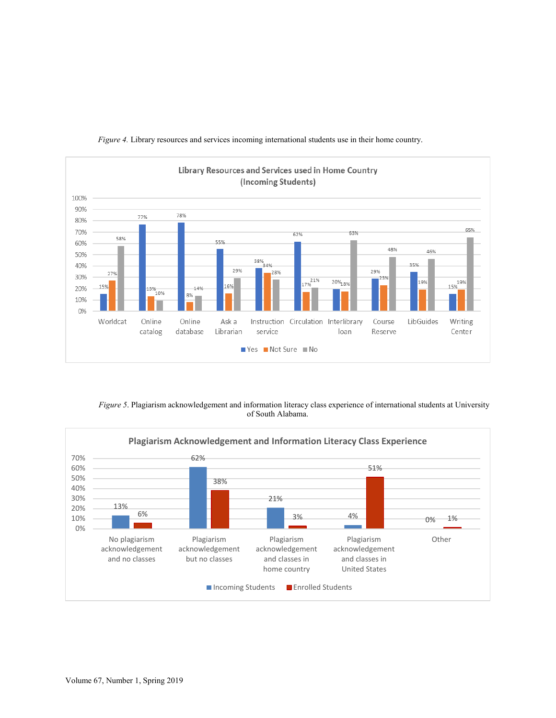

*Figure 4.* Library resources and services incoming international students use in their home country.

*Figure 5*. Plagiarism acknowledgement and information literacy class experience of international students at University of South Alabama.

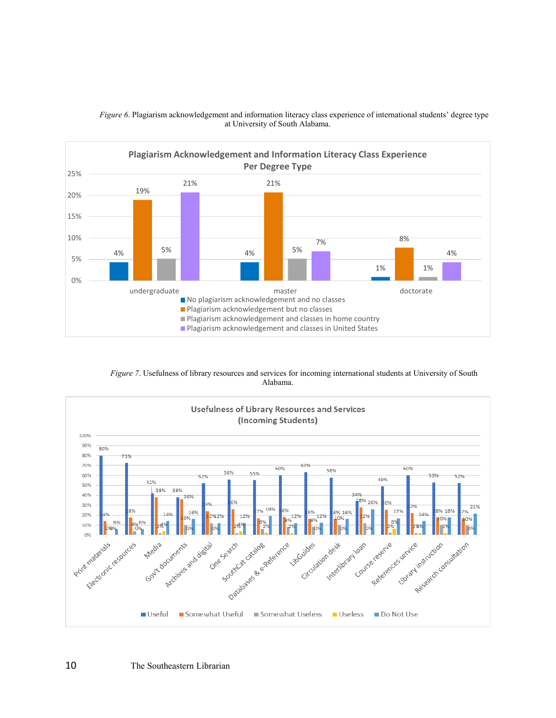

*Figure 6*. Plagiarism acknowledgement and information literacy class experience of international students' degree type at University of South Alabama.

*Figure 7*. Usefulness of library resources and services for incoming international students at University of South Alabama.

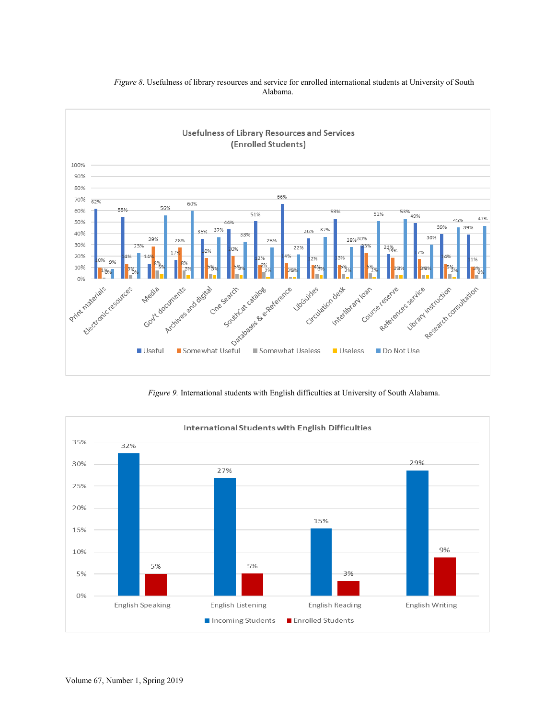

## *Figure 8*. Usefulness of library resources and service for enrolled international students at University of South Alabama.

*Figure 9.* International students with English difficulties at University of South Alabama.

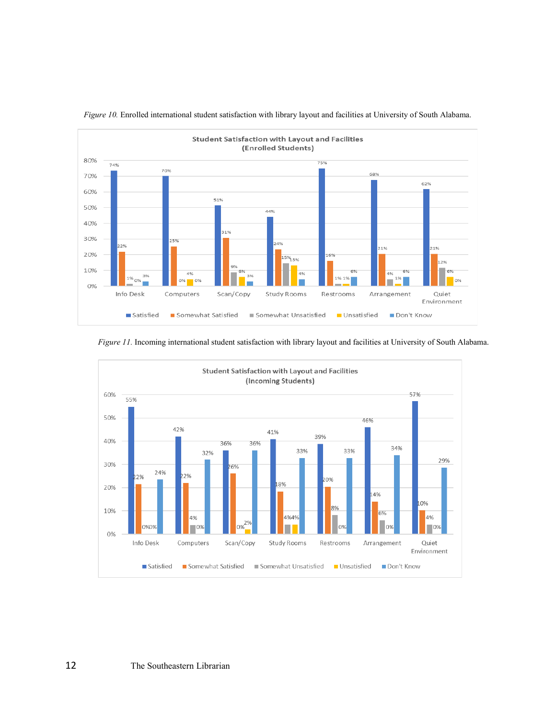

 *Figure 10.* Enrolled international student satisfaction with library layout and facilities at University of South Alabama.

*Figure 11.* Incoming international student satisfaction with library layout and facilities at University of South Alabama.

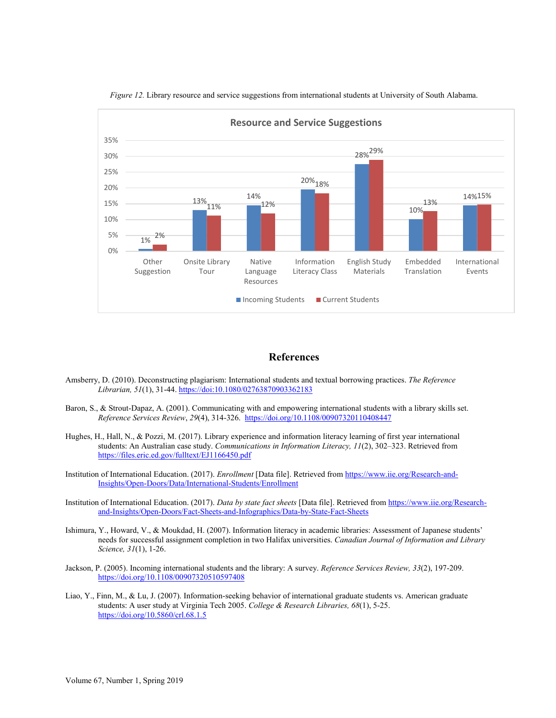

*Figure 12.* Library resource and service suggestions from international students at University of South Alabama.

### **References**

- Amsberry, D. (2010). Deconstructing plagiarism: International students and textual borrowing practices. *The Reference Librarian, 51*(1), 31-44.<https://doi:10.1080/02763870903362183>
- Baron, S., & Strout-Dapaz, A. (2001). Communicating with and empowering international students with a library skills set. *Reference Services Review*, *29*(4), 314-326.<https://doi.org/10.1108/00907320110408447>
- Hughes, H., Hall, N., & Pozzi, M. (2017). Library experience and information literacy learning of first year international students: An Australian case study. *Communications in Information Literacy, 11*(2), 302–323. Retrieved from <https://files.eric.ed.gov/fulltext/EJ1166450.pdf>
- Institution of International Education. (2017). *Enrollment* [Data file]. Retrieved fro[m https://www.iie.org/Research-and-](https://www.iie.org/Research-and-Insights/Open-Doors/Data/International-Students/Enrollment)[Insights/Open-Doors/Data/International-Students/Enrollment](https://www.iie.org/Research-and-Insights/Open-Doors/Data/International-Students/Enrollment)
- Institution of International Education. (2017). *Data by state fact sheets* [Data file]. Retrieved from [https://www.iie.org/Research](https://www.iie.org/Research-and-Insights/Open-Doors/Fact-Sheets-and-Infographics/Data-by-State-Fact-Sheets)[and-Insights/Open-Doors/Fact-Sheets-and-Infographics/Data-by-State-Fact-Sheets](https://www.iie.org/Research-and-Insights/Open-Doors/Fact-Sheets-and-Infographics/Data-by-State-Fact-Sheets)
- Ishimura, Y., Howard, V., & Moukdad, H. (2007). Information literacy in academic libraries: Assessment of Japanese students' needs for successful assignment completion in two Halifax universities. *Canadian Journal of Information and Library Science, 31*(1), 1-26.
- Jackson, P. (2005). Incoming international students and the library: A survey. *Reference Services Review, 33*(2), 197-209. <https://doi.org/10.1108/00907320510597408>
- Liao, Y., Finn, M., & Lu, J. (2007). Information-seeking behavior of international graduate students vs. American graduate students: A user study at Virginia Tech 2005. *College & Research Libraries, 68*(1), 5-25. <https://doi.org/10.5860/crl.68.1.5>